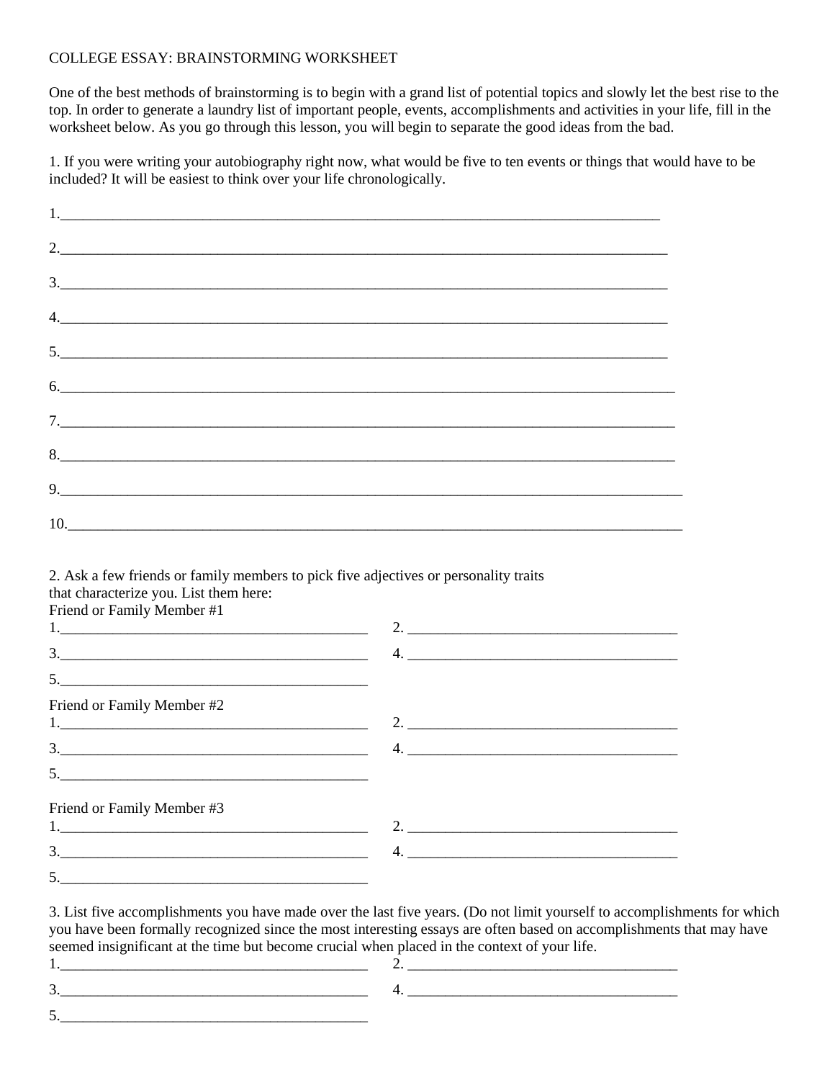## COLLEGE ESSAY: BRAINSTORMING WORKSHEET

One of the best methods of brainstorming is to begin with a grand list of potential topics and slowly let the best rise to the top. In order to generate a laundry list of important people, events, accomplishments and activities in your life, fill in the worksheet below. As you go through this lesson, you will begin to separate the good ideas from the bad.

1. If you were writing your autobiography right now, what would be five to ten events or things that would have to be included? It will be easiest to think over your life chronologically.

| $2. \underline{\hspace{2cm}}$                                                                                                                                                                                                                                                                                                                                                                                                   |  |  |
|---------------------------------------------------------------------------------------------------------------------------------------------------------------------------------------------------------------------------------------------------------------------------------------------------------------------------------------------------------------------------------------------------------------------------------|--|--|
| $\begin{array}{c} 3. \end{array}$                                                                                                                                                                                                                                                                                                                                                                                               |  |  |
| $\begin{tabular}{c} $4$, \end{tabular}$                                                                                                                                                                                                                                                                                                                                                                                         |  |  |
|                                                                                                                                                                                                                                                                                                                                                                                                                                 |  |  |
| 6.                                                                                                                                                                                                                                                                                                                                                                                                                              |  |  |
|                                                                                                                                                                                                                                                                                                                                                                                                                                 |  |  |
|                                                                                                                                                                                                                                                                                                                                                                                                                                 |  |  |
| $9. \qquad \qquad 9. \qquad \qquad 9. \qquad \qquad 9. \qquad \qquad 9. \qquad \qquad 9. \qquad \qquad 9. \qquad \qquad 9. \qquad \qquad 9. \qquad \qquad 9. \qquad \qquad 9. \qquad \qquad 9. \qquad \qquad 9. \qquad \qquad 9. \qquad \qquad 9. \qquad \qquad 9. \qquad \qquad 9. \qquad \qquad 9. \qquad \qquad 9. \qquad \qquad 9. \qquad \qquad 9. \qquad \qquad 9. \qquad \qquad 9. \qquad \qquad 9. \qquad \qquad 9. \q$ |  |  |
|                                                                                                                                                                                                                                                                                                                                                                                                                                 |  |  |

## 2. Ask a few friends or family members to pick five adjectives or personality traits that characterize you. List them here:

Friend or Family Member #1

| $\begin{array}{c c c c c c} \hline \rule{0mm}{4mm} & \rule{0mm}{4mm} \multicolumn{3}{c }{\textbf{3.2}} & \multicolumn{3}{c }{\textbf{1.3}} & \multicolumn{3}{c }{\textbf{1.3}} & \multicolumn{3}{c }{\textbf{1.3}} & \multicolumn{3}{c }{\textbf{1.3}} & \multicolumn{3}{c }{\textbf{1.3}} & \multicolumn{3}{c }{\textbf{1.3}} & \multicolumn{3}{c }{\textbf{1.3}} & \multicolumn{3}{c }{\textbf{1.3}} & \multicolumn{3}{c }{$ |                                                      |
|--------------------------------------------------------------------------------------------------------------------------------------------------------------------------------------------------------------------------------------------------------------------------------------------------------------------------------------------------------------------------------------------------------------------------------|------------------------------------------------------|
|                                                                                                                                                                                                                                                                                                                                                                                                                                |                                                      |
| Friend or Family Member #2                                                                                                                                                                                                                                                                                                                                                                                                     | 2. $\qquad \qquad$                                   |
| $\begin{array}{c} 3. \begin{array}{c} \begin{array}{c} \begin{array}{c} \end{array}\\ \end{array} \end{array} \end{array}$                                                                                                                                                                                                                                                                                                     | <u> 1989 - Jan Barnett, fransk politik (d. 1989)</u> |
| $\frac{1}{2}$                                                                                                                                                                                                                                                                                                                                                                                                                  |                                                      |
| Friend or Family Member #3<br>1.                                                                                                                                                                                                                                                                                                                                                                                               |                                                      |
| 3.                                                                                                                                                                                                                                                                                                                                                                                                                             |                                                      |
|                                                                                                                                                                                                                                                                                                                                                                                                                                |                                                      |

3. List five accomplishments you have made over the last five years. (Do not limit yourself to accomplishments for which you have been formally recognized since the most interesting essays are often based on accomplishments that may have seemed insignificant at the time but become crucial when placed in the context of your life.

| . . |  |
|-----|--|
| ັ   |  |